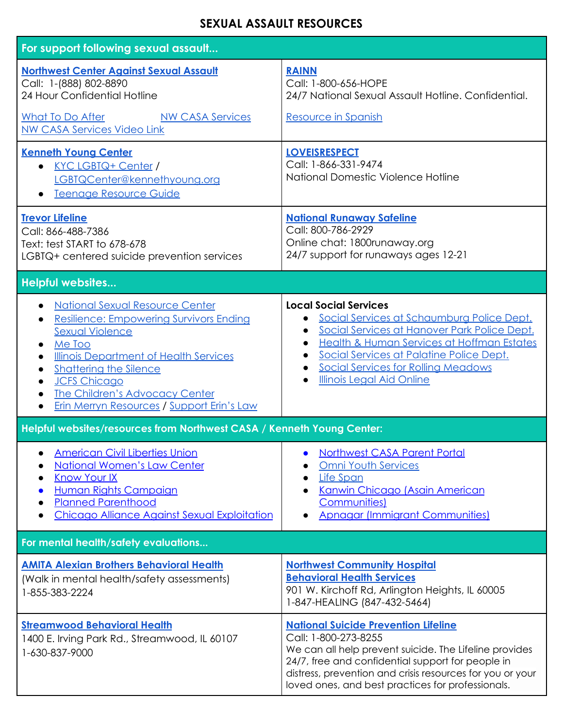## **SEXUAL ASSAULT RESOURCES**

| For support following sexual assault                                                                                                                                                                                                                                                                                  |                                                                                                                                                                                                                                                                                                                   |
|-----------------------------------------------------------------------------------------------------------------------------------------------------------------------------------------------------------------------------------------------------------------------------------------------------------------------|-------------------------------------------------------------------------------------------------------------------------------------------------------------------------------------------------------------------------------------------------------------------------------------------------------------------|
| <b>Northwest Center Against Sexual Assault</b><br>Call: 1-(888) 802-8890<br>24 Hour Confidential Hotline                                                                                                                                                                                                              | <b>RAINN</b><br>Call: 1-800-656-HOPE<br>24/7 National Sexual Assault Hotline. Confidential.                                                                                                                                                                                                                       |
| <b>What To Do After</b><br><b>NW CASA Services</b><br><b>NW CASA Services Video Link</b>                                                                                                                                                                                                                              | Resource in Spanish                                                                                                                                                                                                                                                                                               |
| <b>Kenneth Young Center</b><br>• KYC LGBTQ+ Center /<br>LGBTQCenter@kennethyoung.org<br>Teenage Resource Guide                                                                                                                                                                                                        | <b>LOVEISRESPECT</b><br>Call: 1-866-331-9474<br>National Domestic Violence Hotline                                                                                                                                                                                                                                |
| <b>Trevor Lifeline</b><br>Call: 866-488-7386<br>Text: test START to 678-678<br>LGBTQ+ centered suicide prevention services                                                                                                                                                                                            | <b>National Runaway Safeline</b><br>Call: 800-786-2929<br>Online chat: 1800runaway.org<br>24/7 support for runaways ages 12-21                                                                                                                                                                                    |
| <b>Helpful websites</b>                                                                                                                                                                                                                                                                                               |                                                                                                                                                                                                                                                                                                                   |
| <b>National Sexual Resource Center</b><br><b>Resilience: Empowering Survivors Ending</b><br><b>Sexual Violence</b><br>Me Too<br><b>Illinois Department of Health Services</b><br><b>Shattering the Silence</b><br><b>JCFS Chicago</b><br>The Children's Advocacy Center<br>Erin Merryn Resources / Support Erin's Law | <b>Local Social Services</b><br>Social Services at Schaumburg Police Dept.<br>Social Services at Hanover Park Police Dept.<br><b>Health &amp; Human Services at Hoffman Estates</b><br>Social Services at Palatine Police Dept.<br><b>Social Services for Rolling Meadows</b><br><b>Illinois Legal Aid Online</b> |
| Helpful websites/resources from Northwest CASA / Kenneth Young Center:                                                                                                                                                                                                                                                |                                                                                                                                                                                                                                                                                                                   |
| <b>American Civil Liberties Union</b><br><b>National Women's Law Center</b><br><b>Know Your IX</b><br>Human Rights Campaign<br><b>Planned Parenthood</b><br><b>Chicago Alliance Against Sexual Exploitation</b>                                                                                                       | <b>Northwest CASA Parent Portal</b><br><b>Omni Youth Services</b><br><b>Life Span</b><br>Kanwin Chicago (Asain American<br><b>Communities</b> )<br><b>Apnagar (Immigrant Communities)</b>                                                                                                                         |
| For mental health/safety evaluations                                                                                                                                                                                                                                                                                  |                                                                                                                                                                                                                                                                                                                   |
| <b>AMITA Alexian Brothers Behavioral Health</b><br>(Walk in mental health/safety assessments)<br>1-855-383-2224                                                                                                                                                                                                       | <b>Northwest Community Hospital</b><br><b>Behavioral Health Services</b><br>901 W. Kirchoff Rd, Arlington Heights, IL 60005<br>1-847-HEALING (847-432-5464)                                                                                                                                                       |
| <b>Streamwood Behavioral Health</b><br>1400 E. Irving Park Rd., Streamwood, IL 60107<br>1-630-837-9000                                                                                                                                                                                                                | <b>National Suicide Prevention Lifeline</b><br>Call: 1-800-273-8255<br>We can all help prevent suicide. The Lifeline provides<br>24/7, free and confidential support for people in<br>distress, prevention and crisis resources for you or your<br>loved ones, and best practices for professionals.              |